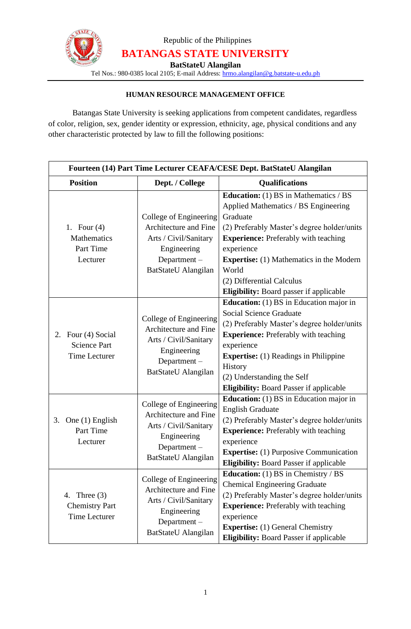

Republic of the Philippines **BATANGAS STATE UNIVERSITY**

**BatStateU Alangilan**

Tel Nos.: 980-0385 local 2105; E-mail Address: [hrmo.alangilan@g.batstate-u.edu.ph](mailto:hrmo.alangilan@g.batstate-u.edu.ph)

## **HUMAN RESOURCE MANAGEMENT OFFICE**

Batangas State University is seeking applications from competent candidates, regardless of color, religion, sex, gender identity or expression, ethnicity, age, physical conditions and any other characteristic protected by law to fill the following positions:

| Fourteen (14) Part Time Lecturer CEAFA/CESE Dept. BatStateU Alangilan |                                                                                                                               |                                                                                                                                                                                                                                                                                                                                                  |  |
|-----------------------------------------------------------------------|-------------------------------------------------------------------------------------------------------------------------------|--------------------------------------------------------------------------------------------------------------------------------------------------------------------------------------------------------------------------------------------------------------------------------------------------------------------------------------------------|--|
| <b>Position</b>                                                       | Dept. / College                                                                                                               | <b>Qualifications</b>                                                                                                                                                                                                                                                                                                                            |  |
| 1. Four $(4)$<br>Mathematics<br>Part Time<br>Lecturer                 | College of Engineering<br>Architecture and Fine<br>Arts / Civil/Sanitary<br>Engineering<br>Department-<br>BatStateU Alangilan | <b>Education:</b> (1) BS in Mathematics / BS<br>Applied Mathematics / BS Engineering<br>Graduate<br>(2) Preferably Master's degree holder/units<br><b>Experience:</b> Preferably with teaching<br>experience<br><b>Expertise:</b> (1) Mathematics in the Modern<br>World<br>(2) Differential Calculus<br>Eligibility: Board passer if applicable |  |
| 2. Four (4) Social<br><b>Science Part</b><br><b>Time Lecturer</b>     | College of Engineering<br>Architecture and Fine<br>Arts / Civil/Sanitary<br>Engineering<br>Department-<br>BatStateU Alangilan | <b>Education:</b> (1) BS in Education major in<br><b>Social Science Graduate</b><br>(2) Preferably Master's degree holder/units<br><b>Experience:</b> Preferably with teaching<br>experience<br><b>Expertise:</b> (1) Readings in Philippine<br>History<br>(2) Understanding the Self<br><b>Eligibility:</b> Board Passer if applicable          |  |
| 3. One (1) English<br>Part Time<br>Lecturer                           | College of Engineering<br>Architecture and Fine<br>Arts / Civil/Sanitary<br>Engineering<br>Department-<br>BatStateU Alangilan | <b>Education:</b> (1) BS in Education major in<br><b>English Graduate</b><br>(2) Preferably Master's degree holder/units<br><b>Experience:</b> Preferably with teaching<br>experience<br><b>Expertise:</b> (1) Purposive Communication<br><b>Eligibility: Board Passer if applicable</b>                                                         |  |
| 4. Three $(3)$<br><b>Chemistry Part</b><br><b>Time Lecturer</b>       | College of Engineering<br>Architecture and Fine<br>Arts / Civil/Sanitary<br>Engineering<br>Department-<br>BatStateU Alangilan | <b>Education:</b> (1) BS in Chemistry / BS<br><b>Chemical Engineering Graduate</b><br>(2) Preferably Master's degree holder/units<br><b>Experience:</b> Preferably with teaching<br>experience<br><b>Expertise:</b> (1) General Chemistry<br><b>Eligibility:</b> Board Passer if applicable                                                      |  |